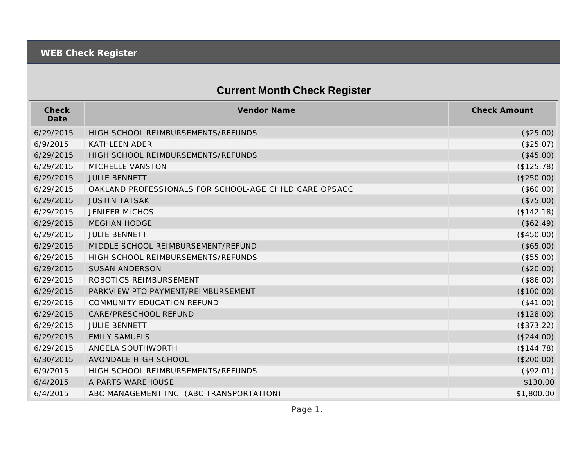## **Current Month Check Register**

| Check<br>Date | <b>Vendor Name</b>                                     | <b>Check Amount</b> |
|---------------|--------------------------------------------------------|---------------------|
| 6/29/2015     | HIGH SCHOOL REIMBURSEMENTS/REFUNDS                     | (\$25.00)           |
| 6/9/2015      | <b>KATHLEEN ADER</b>                                   | (\$25.07)           |
| 6/29/2015     | HIGH SCHOOL REIMBURSEMENTS/REFUNDS                     | (\$45.00)           |
| 6/29/2015     | MICHELLE VANSTON                                       | (\$125.78)          |
| 6/29/2015     | <b>JULIE BENNETT</b>                                   | (\$250.00)          |
| 6/29/2015     | OAKLAND PROFESSIONALS FOR SCHOOL-AGE CHILD CARE OPSACC | (\$60.00)           |
| 6/29/2015     | <b>JUSTIN TATSAK</b>                                   | (\$75.00)           |
| 6/29/2015     | <b>JENIFER MICHOS</b>                                  | (\$142.18)          |
| 6/29/2015     | <b>MEGHAN HODGE</b>                                    | (\$62.49)           |
| 6/29/2015     | <b>JULIE BENNETT</b>                                   | (\$450.00)          |
| 6/29/2015     | MIDDLE SCHOOL REIMBURSEMENT/REFUND                     | (\$65.00)           |
| 6/29/2015     | HIGH SCHOOL REIMBURSEMENTS/REFUNDS                     | (\$55.00)           |
| 6/29/2015     | <b>SUSAN ANDERSON</b>                                  | (\$20.00)           |
| 6/29/2015     | ROBOTICS REIMBURSEMENT                                 | (\$86.00)           |
| 6/29/2015     | PARKVIEW PTO PAYMENT/REIMBURSEMENT                     | (\$100.00)          |
| 6/29/2015     | COMMUNITY EDUCATION REFUND                             | (\$41.00)           |
| 6/29/2015     | CARE/PRESCHOOL REFUND                                  | (\$128.00)          |
| 6/29/2015     | <b>JULIE BENNETT</b>                                   | (\$373.22)          |
| 6/29/2015     | <b>EMILY SAMUELS</b>                                   | (\$244.00)          |
| 6/29/2015     | ANGELA SOUTHWORTH                                      | (\$144.78)          |
| 6/30/2015     | AVONDALE HIGH SCHOOL                                   | (\$200.00)          |
| 6/9/2015      | HIGH SCHOOL REIMBURSEMENTS/REFUNDS                     | (\$92.01)           |
| 6/4/2015      | A PARTS WAREHOUSE                                      | \$130.00            |
| 6/4/2015      | ABC MANAGEMENT INC. (ABC TRANSPORTATION)               | \$1,800.00          |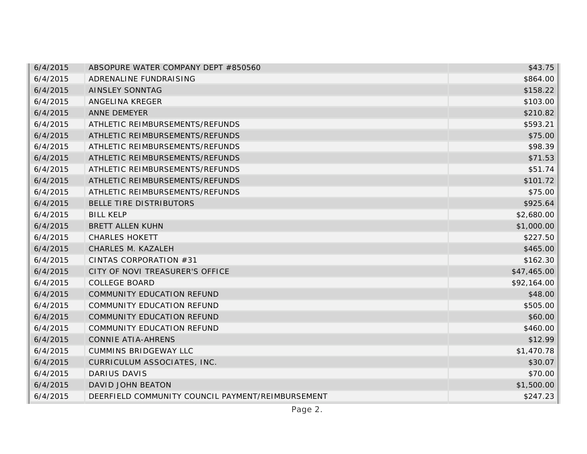| 6/4/2015 | ABSOPURE WATER COMPANY DEPT #850560               | \$43.75     |
|----------|---------------------------------------------------|-------------|
| 6/4/2015 | ADRENALINE FUNDRAISING                            | \$864.00    |
| 6/4/2015 | AINSLEY SONNTAG                                   | \$158.22    |
| 6/4/2015 | ANGELINA KREGER                                   | \$103.00    |
| 6/4/2015 | <b>ANNE DEMEYER</b>                               | \$210.82    |
| 6/4/2015 | ATHLETIC REIMBURSEMENTS/REFUNDS                   | \$593.21    |
| 6/4/2015 | ATHLETIC REIMBURSEMENTS/REFUNDS                   | \$75.00     |
| 6/4/2015 | ATHLETIC REIMBURSEMENTS/REFUNDS                   | \$98.39     |
| 6/4/2015 | ATHLETIC REIMBURSEMENTS/REFUNDS                   | \$71.53     |
| 6/4/2015 | ATHLETIC REIMBURSEMENTS/REFUNDS                   | \$51.74     |
| 6/4/2015 | ATHLETIC REIMBURSEMENTS/REFUNDS                   | \$101.72    |
| 6/4/2015 | ATHLETIC REIMBURSEMENTS/REFUNDS                   | \$75.00     |
| 6/4/2015 | BELLE TIRE DISTRIBUTORS                           | \$925.64    |
| 6/4/2015 | <b>BILL KELP</b>                                  | \$2,680.00  |
| 6/4/2015 | <b>BRETT ALLEN KUHN</b>                           | \$1,000.00  |
| 6/4/2015 | <b>CHARLES HOKETT</b>                             | \$227.50    |
| 6/4/2015 | CHARLES M. KAZALEH                                | \$465.00    |
| 6/4/2015 | CINTAS CORPORATION #31                            | \$162.30    |
| 6/4/2015 | CITY OF NOVI TREASURER'S OFFICE                   | \$47,465.00 |
| 6/4/2015 | <b>COLLEGE BOARD</b>                              | \$92,164.00 |
| 6/4/2015 | COMMUNITY EDUCATION REFUND                        | \$48.00     |
| 6/4/2015 | COMMUNITY EDUCATION REFUND                        | \$505.00    |
| 6/4/2015 | COMMUNITY EDUCATION REFUND                        | \$60.00     |
| 6/4/2015 | COMMUNITY EDUCATION REFUND                        | \$460.00    |
| 6/4/2015 | <b>CONNIE ATIA-AHRENS</b>                         | \$12.99     |
| 6/4/2015 | <b>CUMMINS BRIDGEWAY LLC</b>                      | \$1,470.78  |
| 6/4/2015 | CURRICULUM ASSOCIATES, INC.                       | \$30.07     |
| 6/4/2015 | <b>DARIUS DAVIS</b>                               | \$70.00     |
| 6/4/2015 | DAVID JOHN BEATON                                 | \$1,500.00  |
| 6/4/2015 | DEERFIELD COMMUNITY COUNCIL PAYMENT/REIMBURSEMENT | \$247.23    |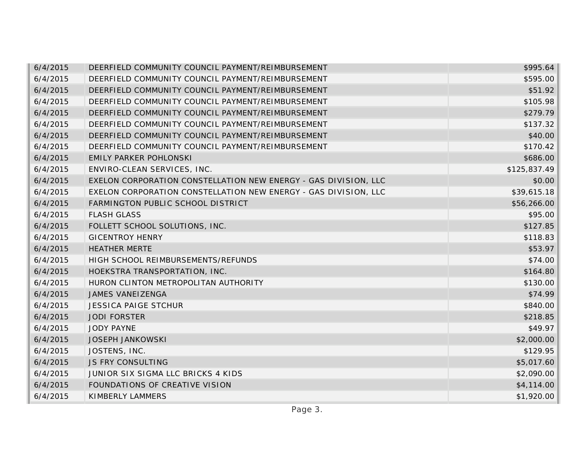| 6/4/2015 | DEERFIELD COMMUNITY COUNCIL PAYMENT/REIMBURSEMENT               | \$995.64     |
|----------|-----------------------------------------------------------------|--------------|
| 6/4/2015 | DEERFIELD COMMUNITY COUNCIL PAYMENT/REIMBURSEMENT               | \$595.00     |
| 6/4/2015 | DEERFIELD COMMUNITY COUNCIL PAYMENT/REIMBURSEMENT               | \$51.92      |
| 6/4/2015 | DEERFIELD COMMUNITY COUNCIL PAYMENT/REIMBURSEMENT               | \$105.98     |
| 6/4/2015 | DEERFIELD COMMUNITY COUNCIL PAYMENT/REIMBURSEMENT               | \$279.79     |
| 6/4/2015 | DEERFIELD COMMUNITY COUNCIL PAYMENT/REIMBURSEMENT               | \$137.32     |
| 6/4/2015 | DEERFIELD COMMUNITY COUNCIL PAYMENT/REIMBURSEMENT               | \$40.00      |
| 6/4/2015 | DEERFIELD COMMUNITY COUNCIL PAYMENT/REIMBURSEMENT               | \$170.42     |
| 6/4/2015 | <b>EMILY PARKER POHLONSKI</b>                                   | \$686.00     |
| 6/4/2015 | ENVIRO-CLEAN SERVICES, INC.                                     | \$125,837.49 |
| 6/4/2015 | EXELON CORPORATION CONSTELLATION NEW ENERGY - GAS DIVISION, LLC | \$0.00       |
| 6/4/2015 | EXELON CORPORATION CONSTELLATION NEW ENERGY - GAS DIVISION, LLC | \$39,615.18  |
| 6/4/2015 | FARMINGTON PUBLIC SCHOOL DISTRICT                               | \$56,266.00  |
| 6/4/2015 | <b>FLASH GLASS</b>                                              | \$95.00      |
| 6/4/2015 | FOLLETT SCHOOL SOLUTIONS, INC.                                  | \$127.85     |
| 6/4/2015 | <b>GICENTROY HENRY</b>                                          | \$118.83     |
| 6/4/2015 | <b>HEATHER MERTE</b>                                            | \$53.97      |
| 6/4/2015 | HIGH SCHOOL REIMBURSEMENTS/REFUNDS                              | \$74.00      |
| 6/4/2015 | HOEKSTRA TRANSPORTATION, INC.                                   | \$164.80     |
| 6/4/2015 | HURON CLINTON METROPOLITAN AUTHORITY                            | \$130.00     |
| 6/4/2015 | <b>JAMES VANEIZENGA</b>                                         | \$74.99      |
| 6/4/2015 | <b>JESSICA PAIGE STCHUR</b>                                     | \$840.00     |
| 6/4/2015 | <b>JODI FORSTER</b>                                             | \$218.85     |
| 6/4/2015 | <b>JODY PAYNE</b>                                               | \$49.97      |
| 6/4/2015 | <b>JOSEPH JANKOWSKI</b>                                         | \$2,000.00   |
| 6/4/2015 | JOSTENS, INC.                                                   | \$129.95     |
| 6/4/2015 | <b>JS FRY CONSULTING</b>                                        | \$5,017.60   |
| 6/4/2015 | JUNIOR SIX SIGMA LLC BRICKS 4 KIDS                              | \$2,090.00   |
| 6/4/2015 | FOUNDATIONS OF CREATIVE VISION                                  | \$4,114.00   |
| 6/4/2015 | KIMBERLY LAMMERS                                                | \$1,920.00   |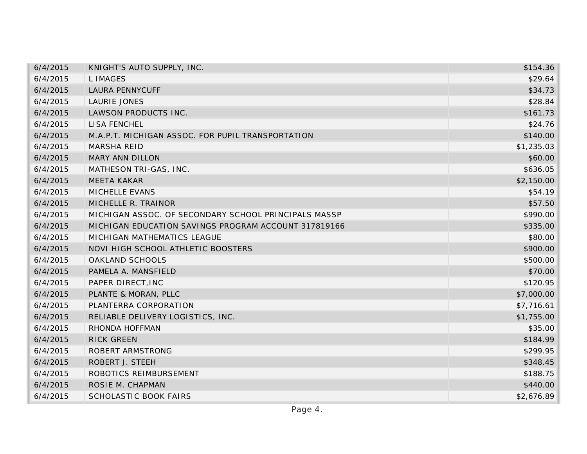| 6/4/2015 | KNIGHT'S AUTO SUPPLY, INC.                           | \$154.36   |
|----------|------------------------------------------------------|------------|
| 6/4/2015 | L IMAGES                                             | \$29.64    |
| 6/4/2015 | <b>LAURA PENNYCUFF</b>                               | \$34.73    |
| 6/4/2015 | <b>LAURIE JONES</b>                                  | \$28.84    |
| 6/4/2015 | LAWSON PRODUCTS INC.                                 | \$161.73   |
| 6/4/2015 | <b>LISA FENCHEL</b>                                  | \$24.76    |
| 6/4/2015 | M.A.P.T. MICHIGAN ASSOC. FOR PUPIL TRANSPORTATION    | \$140.00   |
| 6/4/2015 | <b>MARSHA REID</b>                                   | \$1,235.03 |
| 6/4/2015 | <b>MARY ANN DILLON</b>                               | \$60.00    |
| 6/4/2015 | MATHESON TRI-GAS, INC.                               | \$636.05   |
| 6/4/2015 | <b>MEETA KAKAR</b>                                   | \$2,150.00 |
| 6/4/2015 | MICHELLE EVANS                                       | \$54.19    |
| 6/4/2015 | MICHELLE R. TRAINOR                                  | \$57.50    |
| 6/4/2015 | MICHIGAN ASSOC. OF SECONDARY SCHOOL PRINCIPALS MASSP | \$990.00   |
| 6/4/2015 | MICHIGAN EDUCATION SAVINGS PROGRAM ACCOUNT 317819166 | \$335.00   |
| 6/4/2015 | MICHIGAN MATHEMATICS LEAGUE                          | \$80.00    |
| 6/4/2015 | NOVI HIGH SCHOOL ATHLETIC BOOSTERS                   | \$900.00   |
| 6/4/2015 | OAKLAND SCHOOLS                                      | \$500.00   |
| 6/4/2015 | PAMELA A. MANSFIELD                                  | \$70.00    |
| 6/4/2015 | PAPER DIRECT, INC                                    | \$120.95   |
| 6/4/2015 | PLANTE & MORAN, PLLC                                 | \$7,000.00 |
| 6/4/2015 | PLANTERRA CORPORATION                                | \$7,716.61 |
| 6/4/2015 | RELIABLE DELIVERY LOGISTICS, INC.                    | \$1,755.00 |
| 6/4/2015 | RHONDA HOFFMAN                                       | \$35.00    |
| 6/4/2015 | <b>RICK GREEN</b>                                    | \$184.99   |
| 6/4/2015 | ROBERT ARMSTRONG                                     | \$299.95   |
| 6/4/2015 | ROBERT J. STEEH                                      | \$348.45   |
| 6/4/2015 | ROBOTICS REIMBURSEMENT                               | \$188.75   |
| 6/4/2015 | ROSIE M. CHAPMAN                                     | \$440.00   |
| 6/4/2015 | <b>SCHOLASTIC BOOK FAIRS</b>                         | \$2,676.89 |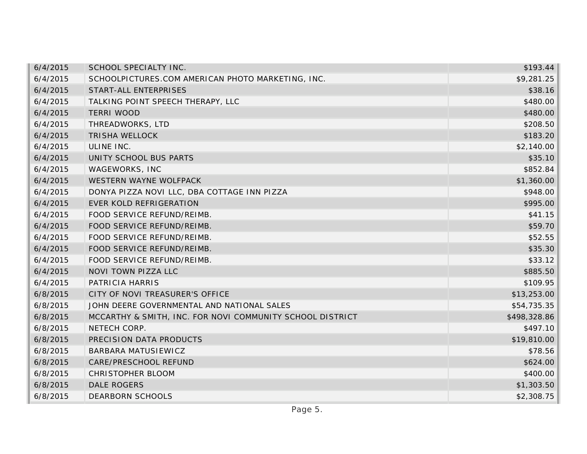| 6/4/2015 | SCHOOL SPECIALTY INC.                                     | \$193.44     |
|----------|-----------------------------------------------------------|--------------|
| 6/4/2015 | SCHOOLPICTURES.COM AMERICAN PHOTO MARKETING, INC.         | \$9,281.25   |
| 6/4/2015 | START-ALL ENTERPRISES                                     | \$38.16      |
| 6/4/2015 | TALKING POINT SPEECH THERAPY, LLC                         | \$480.00     |
| 6/4/2015 | <b>TERRI WOOD</b>                                         | \$480.00     |
| 6/4/2015 | THREADWORKS, LTD                                          | \$208.50     |
| 6/4/2015 | <b>TRISHA WELLOCK</b>                                     | \$183.20     |
| 6/4/2015 | ULINE INC.                                                | \$2,140.00   |
| 6/4/2015 | UNITY SCHOOL BUS PARTS                                    | \$35.10      |
| 6/4/2015 | WAGEWORKS, INC                                            | \$852.84     |
| 6/4/2015 | WESTERN WAYNE WOLFPACK                                    | \$1,360.00   |
| 6/4/2015 | DONYA PIZZA NOVI LLC, DBA COTTAGE INN PIZZA               | \$948.00     |
| 6/4/2015 | <b>EVER KOLD REFRIGERATION</b>                            | \$995.00     |
| 6/4/2015 | FOOD SERVICE REFUND/REIMB.                                | \$41.15      |
| 6/4/2015 | FOOD SERVICE REFUND/REIMB.                                | \$59.70      |
| 6/4/2015 | FOOD SERVICE REFUND/REIMB.                                | \$52.55      |
| 6/4/2015 | FOOD SERVICE REFUND/REIMB.                                | \$35.30      |
| 6/4/2015 | FOOD SERVICE REFUND/REIMB.                                | \$33.12      |
| 6/4/2015 | NOVI TOWN PIZZA LLC                                       | \$885.50     |
| 6/4/2015 | PATRICIA HARRIS                                           | \$109.95     |
| 6/8/2015 | CITY OF NOVI TREASURER'S OFFICE                           | \$13,253.00  |
| 6/8/2015 | JOHN DEERE GOVERNMENTAL AND NATIONAL SALES                | \$54,735.35  |
| 6/8/2015 | MCCARTHY & SMITH, INC. FOR NOVI COMMUNITY SCHOOL DISTRICT | \$498,328.86 |
| 6/8/2015 | NETECH CORP.                                              | \$497.10     |
| 6/8/2015 | PRECISION DATA PRODUCTS                                   | \$19,810.00  |
| 6/8/2015 | <b>BARBARA MATUSIEWICZ</b>                                | \$78.56      |
| 6/8/2015 | CARE/PRESCHOOL REFUND                                     | \$624.00     |
| 6/8/2015 | CHRISTOPHER BLOOM                                         | \$400.00     |
| 6/8/2015 | <b>DALE ROGERS</b>                                        | \$1,303.50   |
| 6/8/2015 | DEARBORN SCHOOLS                                          | \$2,308.75   |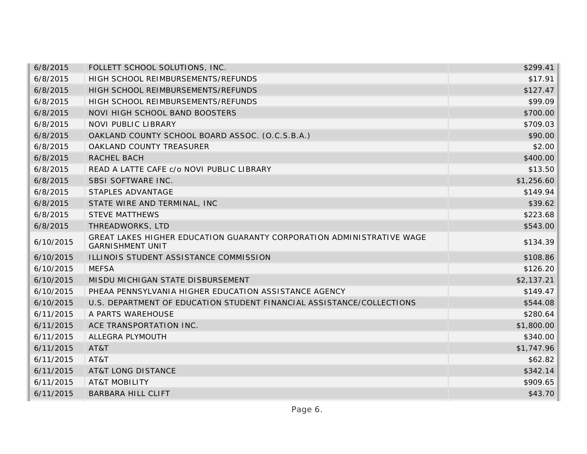| 6/8/2015  | FOLLETT SCHOOL SOLUTIONS, INC.                                                                   | \$299.41   |
|-----------|--------------------------------------------------------------------------------------------------|------------|
| 6/8/2015  | HIGH SCHOOL REIMBURSEMENTS/REFUNDS                                                               | \$17.91    |
| 6/8/2015  | HIGH SCHOOL REIMBURSEMENTS/REFUNDS                                                               | \$127.47   |
| 6/8/2015  | HIGH SCHOOL REIMBURSEMENTS/REFUNDS                                                               | \$99.09    |
| 6/8/2015  | NOVI HIGH SCHOOL BAND BOOSTERS                                                                   | \$700.00   |
| 6/8/2015  | <b>NOVI PUBLIC LIBRARY</b>                                                                       | \$709.03   |
| 6/8/2015  | OAKLAND COUNTY SCHOOL BOARD ASSOC. (O.C.S.B.A.)                                                  | \$90.00    |
| 6/8/2015  | OAKLAND COUNTY TREASURER                                                                         | \$2.00     |
| 6/8/2015  | RACHEL BACH                                                                                      | \$400.00   |
| 6/8/2015  | READ A LATTE CAFE c/o NOVI PUBLIC LIBRARY                                                        | \$13.50    |
| 6/8/2015  | SBSI SOFTWARE INC.                                                                               | \$1,256.60 |
| 6/8/2015  | STAPLES ADVANTAGE                                                                                | \$149.94   |
| 6/8/2015  | STATE WIRE AND TERMINAL, INC                                                                     | \$39.62    |
| 6/8/2015  | <b>STEVE MATTHEWS</b>                                                                            | \$223.68   |
| 6/8/2015  | THREADWORKS, LTD                                                                                 | \$543.00   |
| 6/10/2015 | GREAT LAKES HIGHER EDUCATION GUARANTY CORPORATION ADMINISTRATIVE WAGE<br><b>GARNISHMENT UNIT</b> | \$134.39   |
| 6/10/2015 | ILLINOIS STUDENT ASSISTANCE COMMISSION                                                           | \$108.86   |
| 6/10/2015 | <b>MEFSA</b>                                                                                     | \$126.20   |
| 6/10/2015 | MISDU MICHIGAN STATE DISBURSEMENT                                                                | \$2,137.21 |
| 6/10/2015 | PHEAA PENNSYLVANIA HIGHER EDUCATION ASSISTANCE AGENCY                                            | \$149.47   |
| 6/10/2015 | U.S. DEPARTMENT OF EDUCATION STUDENT FINANCIAL ASSISTANCE/COLLECTIONS                            | \$544.08   |
| 6/11/2015 | A PARTS WAREHOUSE                                                                                | \$280.64   |
| 6/11/2015 | ACE TRANSPORTATION INC.                                                                          | \$1,800.00 |
| 6/11/2015 | ALLEGRA PLYMOUTH                                                                                 | \$340.00   |
| 6/11/2015 | AT&T                                                                                             | \$1,747.96 |
| 6/11/2015 | AT&T                                                                                             | \$62.82    |
| 6/11/2015 | <b>AT&amp;T LONG DISTANCE</b>                                                                    | \$342.14   |
| 6/11/2015 | <b>AT&amp;T MOBILITY</b>                                                                         | \$909.65   |
| 6/11/2015 | <b>BARBARA HILL CLIFT</b>                                                                        | \$43.70    |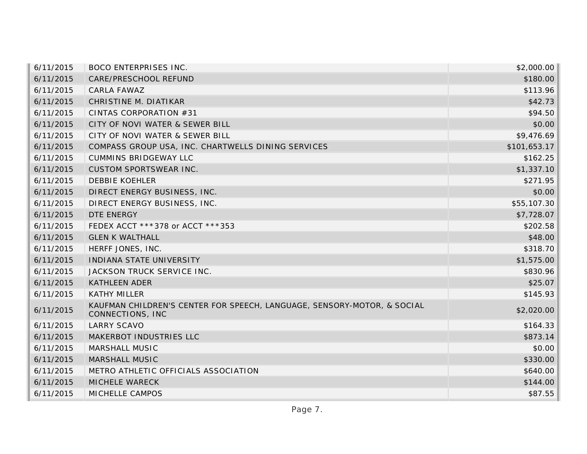| 6/11/2015 | <b>BOCO ENTERPRISES INC.</b>                                                                | \$2,000.00   |
|-----------|---------------------------------------------------------------------------------------------|--------------|
| 6/11/2015 | CARE/PRESCHOOL REFUND                                                                       | \$180.00     |
| 6/11/2015 | CARLA FAWAZ                                                                                 | \$113.96     |
| 6/11/2015 | CHRISTINE M. DIATIKAR                                                                       | \$42.73      |
| 6/11/2015 | CINTAS CORPORATION #31                                                                      | \$94.50      |
| 6/11/2015 | CITY OF NOVI WATER & SEWER BILL                                                             | \$0.00       |
| 6/11/2015 | CITY OF NOVI WATER & SEWER BILL                                                             | \$9,476.69   |
| 6/11/2015 | COMPASS GROUP USA, INC. CHARTWELLS DINING SERVICES                                          | \$101,653.17 |
| 6/11/2015 | <b>CUMMINS BRIDGEWAY LLC</b>                                                                | \$162.25     |
| 6/11/2015 | <b>CUSTOM SPORTSWEAR INC.</b>                                                               | \$1,337.10   |
| 6/11/2015 | <b>DEBBIE KOEHLER</b>                                                                       | \$271.95     |
| 6/11/2015 | DIRECT ENERGY BUSINESS, INC.                                                                | \$0.00       |
| 6/11/2015 | DIRECT ENERGY BUSINESS, INC.                                                                | \$55,107.30  |
| 6/11/2015 | DTE ENERGY                                                                                  | \$7,728.07   |
| 6/11/2015 | FEDEX ACCT ***378 or ACCT ***353                                                            | \$202.58     |
| 6/11/2015 | <b>GLEN K WALTHALL</b>                                                                      | \$48.00      |
| 6/11/2015 | HERFF JONES, INC.                                                                           | \$318.70     |
| 6/11/2015 | INDIANA STATE UNIVERSITY                                                                    | \$1,575.00   |
| 6/11/2015 | JACKSON TRUCK SERVICE INC.                                                                  | \$830.96     |
| 6/11/2015 | <b>KATHLEEN ADER</b>                                                                        | \$25.07      |
| 6/11/2015 | <b>KATHY MILLER</b>                                                                         | \$145.93     |
| 6/11/2015 | KAUFMAN CHILDREN'S CENTER FOR SPEECH, LANGUAGE, SENSORY-MOTOR, & SOCIAL<br>CONNECTIONS, INC | \$2,020.00   |
| 6/11/2015 | <b>LARRY SCAVO</b>                                                                          | \$164.33     |
| 6/11/2015 | MAKERBOT INDUSTRIES LLC                                                                     | \$873.14     |
| 6/11/2015 | <b>MARSHALL MUSIC</b>                                                                       | \$0.00       |
| 6/11/2015 | <b>MARSHALL MUSIC</b>                                                                       | \$330.00     |
| 6/11/2015 | METRO ATHLETIC OFFICIALS ASSOCIATION                                                        | \$640.00     |
| 6/11/2015 | MICHELE WARECK                                                                              | \$144.00     |
| 6/11/2015 | MICHELLE CAMPOS                                                                             | \$87.55      |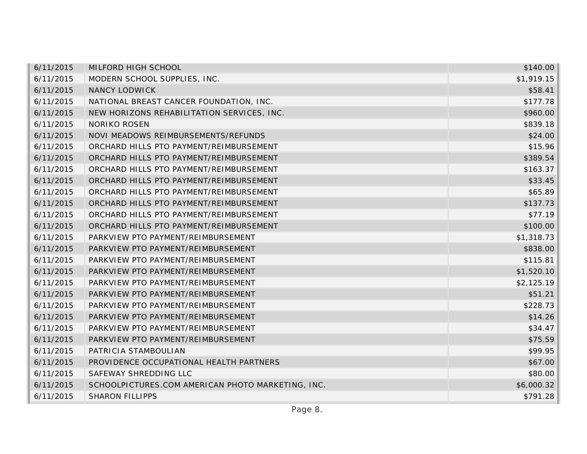| 6/11/2015 | MILFORD HIGH SCHOOL                               | \$140.00   |
|-----------|---------------------------------------------------|------------|
| 6/11/2015 | MODERN SCHOOL SUPPLIES, INC.                      | \$1,919.15 |
| 6/11/2015 | <b>NANCY LODWICK</b>                              | \$58.41    |
| 6/11/2015 | NATIONAL BREAST CANCER FOUNDATION, INC.           | \$177.78   |
| 6/11/2015 | NEW HORIZONS REHABILITATION SERVICES, INC.        | \$960.00   |
| 6/11/2015 | <b>NORIKO ROSEN</b>                               | \$839.18   |
| 6/11/2015 | NOVI MEADOWS REIMBURSEMENTS/REFUNDS               | \$24.00    |
| 6/11/2015 | ORCHARD HILLS PTO PAYMENT/REIMBURSEMENT           | \$15.96    |
| 6/11/2015 | ORCHARD HILLS PTO PAYMENT/REIMBURSEMENT           | \$389.54   |
| 6/11/2015 | ORCHARD HILLS PTO PAYMENT/REIMBURSEMENT           | \$163.37   |
| 6/11/2015 | ORCHARD HILLS PTO PAYMENT/REIMBURSEMENT           | \$33.45    |
| 6/11/2015 | ORCHARD HILLS PTO PAYMENT/REIMBURSEMENT           | \$65.89    |
| 6/11/2015 | ORCHARD HILLS PTO PAYMENT/REIMBURSEMENT           | \$137.73   |
| 6/11/2015 | ORCHARD HILLS PTO PAYMENT/REIMBURSEMENT           | \$77.19    |
| 6/11/2015 | ORCHARD HILLS PTO PAYMENT/REIMBURSEMENT           | \$100.00   |
| 6/11/2015 | PARKVIEW PTO PAYMENT/REIMBURSEMENT                | \$1,318.73 |
| 6/11/2015 | PARKVIEW PTO PAYMENT/REIMBURSEMENT                | \$838.00   |
| 6/11/2015 | PARKVIEW PTO PAYMENT/REIMBURSEMENT                | \$115.81   |
| 6/11/2015 | PARKVIEW PTO PAYMENT/REIMBURSEMENT                | \$1,520.10 |
| 6/11/2015 | PARKVIEW PTO PAYMENT/REIMBURSEMENT                | \$2,125.19 |
| 6/11/2015 | PARKVIEW PTO PAYMENT/REIMBURSEMENT                | \$51.21    |
| 6/11/2015 | PARKVIEW PTO PAYMENT/REIMBURSEMENT                | \$228.73   |
| 6/11/2015 | PARKVIEW PTO PAYMENT/REIMBURSEMENT                | \$14.26    |
| 6/11/2015 | PARKVIEW PTO PAYMENT/REIMBURSEMENT                | \$34.47    |
| 6/11/2015 | PARKVIEW PTO PAYMENT/REIMBURSEMENT                | \$75.59    |
| 6/11/2015 | PATRICIA STAMBOULIAN                              | \$99.95    |
| 6/11/2015 | PROVIDENCE OCCUPATIONAL HEALTH PARTNERS           | \$67.00    |
| 6/11/2015 | SAFEWAY SHREDDING LLC                             | \$80.00    |
| 6/11/2015 | SCHOOLPICTURES.COM AMERICAN PHOTO MARKETING, INC. | \$6,000.32 |
| 6/11/2015 | <b>SHARON FILLIPPS</b>                            | \$791.28   |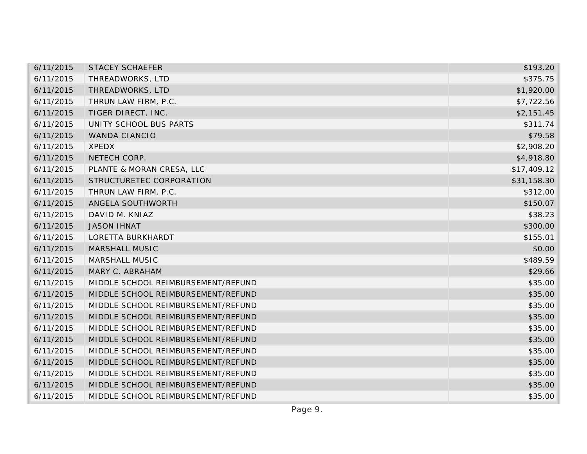| 6/11/2015 | <b>STACEY SCHAEFER</b>             | \$193.20    |
|-----------|------------------------------------|-------------|
| 6/11/2015 | THREADWORKS, LTD                   | \$375.75    |
| 6/11/2015 | THREADWORKS, LTD                   | \$1,920.00  |
| 6/11/2015 | THRUN LAW FIRM, P.C.               | \$7,722.56  |
| 6/11/2015 | TIGER DIRECT, INC.                 | \$2,151.45  |
| 6/11/2015 | UNITY SCHOOL BUS PARTS             | \$311.74    |
| 6/11/2015 | <b>WANDA CIANCIO</b>               | \$79.58     |
| 6/11/2015 | <b>XPEDX</b>                       | \$2,908.20  |
| 6/11/2015 | NETECH CORP.                       | \$4,918.80  |
| 6/11/2015 | PLANTE & MORAN CRESA, LLC          | \$17,409.12 |
| 6/11/2015 | STRUCTURETEC CORPORATION           | \$31,158.30 |
| 6/11/2015 | THRUN LAW FIRM, P.C.               | \$312.00    |
| 6/11/2015 | ANGELA SOUTHWORTH                  | \$150.07    |
| 6/11/2015 | DAVID M. KNIAZ                     | \$38.23     |
| 6/11/2015 | <b>JASON IHNAT</b>                 | \$300.00    |
| 6/11/2015 | LORETTA BURKHARDT                  | \$155.01    |
| 6/11/2015 | <b>MARSHALL MUSIC</b>              | \$0.00      |
| 6/11/2015 | MARSHALL MUSIC                     | \$489.59    |
| 6/11/2015 | MARY C. ABRAHAM                    | \$29.66     |
| 6/11/2015 | MIDDLE SCHOOL REIMBURSEMENT/REFUND | \$35.00     |
| 6/11/2015 | MIDDLE SCHOOL REIMBURSEMENT/REFUND | \$35.00     |
| 6/11/2015 | MIDDLE SCHOOL REIMBURSEMENT/REFUND | \$35.00     |
| 6/11/2015 | MIDDLE SCHOOL REIMBURSEMENT/REFUND | \$35.00     |
| 6/11/2015 | MIDDLE SCHOOL REIMBURSEMENT/REFUND | \$35.00     |
| 6/11/2015 | MIDDLE SCHOOL REIMBURSEMENT/REFUND | \$35.00     |
| 6/11/2015 | MIDDLE SCHOOL REIMBURSEMENT/REFUND | \$35.00     |
| 6/11/2015 | MIDDLE SCHOOL REIMBURSEMENT/REFUND | \$35.00     |
| 6/11/2015 | MIDDLE SCHOOL REIMBURSEMENT/REFUND | \$35.00     |
| 6/11/2015 | MIDDLE SCHOOL REIMBURSEMENT/REFUND | \$35.00     |
| 6/11/2015 | MIDDLE SCHOOL REIMBURSEMENT/REFUND | \$35.00     |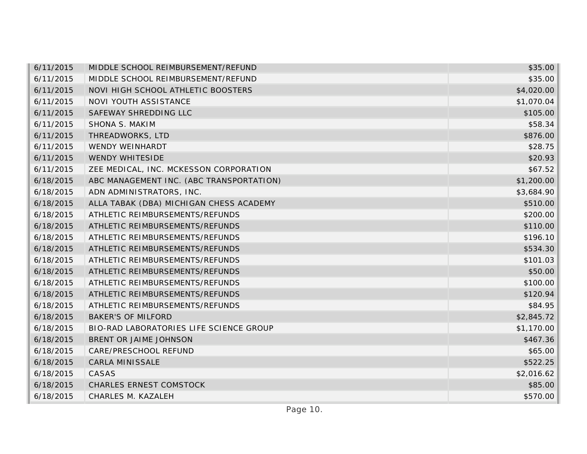| 6/11/2015 | MIDDLE SCHOOL REIMBURSEMENT/REFUND       | \$35.00    |
|-----------|------------------------------------------|------------|
| 6/11/2015 | MIDDLE SCHOOL REIMBURSEMENT/REFUND       | \$35.00    |
| 6/11/2015 | NOVI HIGH SCHOOL ATHLETIC BOOSTERS       | \$4,020.00 |
| 6/11/2015 | NOVI YOUTH ASSISTANCE                    | \$1,070.04 |
| 6/11/2015 | SAFEWAY SHREDDING LLC                    | \$105.00   |
| 6/11/2015 | SHONA S. MAKIM                           | \$58.34    |
| 6/11/2015 | THREADWORKS, LTD                         | \$876.00   |
| 6/11/2015 | <b>WENDY WEINHARDT</b>                   | \$28.75    |
| 6/11/2015 | <b>WENDY WHITESIDE</b>                   | \$20.93    |
| 6/11/2015 | ZEE MEDICAL, INC. MCKESSON CORPORATION   | \$67.52    |
| 6/18/2015 | ABC MANAGEMENT INC. (ABC TRANSPORTATION) | \$1,200.00 |
| 6/18/2015 | ADN ADMINISTRATORS, INC.                 | \$3,684.90 |
| 6/18/2015 | ALLA TABAK (DBA) MICHIGAN CHESS ACADEMY  | \$510.00   |
| 6/18/2015 | ATHLETIC REIMBURSEMENTS/REFUNDS          | \$200.00   |
| 6/18/2015 | ATHLETIC REIMBURSEMENTS/REFUNDS          | \$110.00   |
| 6/18/2015 | ATHLETIC REIMBURSEMENTS/REFUNDS          | \$196.10   |
| 6/18/2015 | ATHLETIC REIMBURSEMENTS/REFUNDS          | \$534.30   |
| 6/18/2015 | ATHLETIC REIMBURSEMENTS/REFUNDS          | \$101.03   |
| 6/18/2015 | ATHLETIC REIMBURSEMENTS/REFUNDS          | \$50.00    |
| 6/18/2015 | ATHLETIC REIMBURSEMENTS/REFUNDS          | \$100.00   |
| 6/18/2015 | ATHLETIC REIMBURSEMENTS/REFUNDS          | \$120.94   |
| 6/18/2015 | ATHLETIC REIMBURSEMENTS/REFUNDS          | \$84.95    |
| 6/18/2015 | <b>BAKER'S OF MILFORD</b>                | \$2,845.72 |
| 6/18/2015 | BIO-RAD LABORATORIES LIFE SCIENCE GROUP  | \$1,170.00 |
| 6/18/2015 | BRENT OR JAIME JOHNSON                   | \$467.36   |
| 6/18/2015 | CARE/PRESCHOOL REFUND                    | \$65.00    |
| 6/18/2015 | CARLA MINISSALE                          | \$522.25   |
| 6/18/2015 | CASAS                                    | \$2,016.62 |
| 6/18/2015 | <b>CHARLES ERNEST COMSTOCK</b>           | \$85.00    |
| 6/18/2015 | CHARLES M. KAZALEH                       | \$570.00   |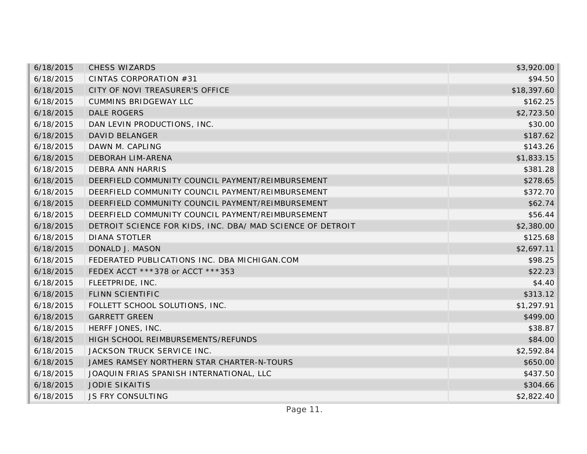| 6/18/2015 | <b>CHESS WIZARDS</b>                                       | \$3,920.00  |
|-----------|------------------------------------------------------------|-------------|
| 6/18/2015 | CINTAS CORPORATION #31                                     | \$94.50     |
| 6/18/2015 | CITY OF NOVI TREASURER'S OFFICE                            | \$18,397.60 |
| 6/18/2015 | <b>CUMMINS BRIDGEWAY LLC</b>                               | \$162.25    |
| 6/18/2015 | <b>DALE ROGERS</b>                                         | \$2,723.50  |
| 6/18/2015 | DAN LEVIN PRODUCTIONS, INC.                                | \$30.00     |
| 6/18/2015 | DAVID BELANGER                                             | \$187.62    |
| 6/18/2015 | DAWN M. CAPLING                                            | \$143.26    |
| 6/18/2015 | <b>DEBORAH LIM-ARENA</b>                                   | \$1,833.15  |
| 6/18/2015 | <b>DEBRA ANN HARRIS</b>                                    | \$381.28    |
| 6/18/2015 | DEERFIELD COMMUNITY COUNCIL PAYMENT/REIMBURSEMENT          | \$278.65    |
| 6/18/2015 | DEERFIELD COMMUNITY COUNCIL PAYMENT/REIMBURSEMENT          | \$372.70    |
| 6/18/2015 | DEERFIELD COMMUNITY COUNCIL PAYMENT/REIMBURSEMENT          | \$62.74     |
| 6/18/2015 | DEERFIELD COMMUNITY COUNCIL PAYMENT/REIMBURSEMENT          | \$56.44     |
| 6/18/2015 | DETROIT SCIENCE FOR KIDS, INC. DBA/ MAD SCIENCE OF DETROIT | \$2,380.00  |
| 6/18/2015 | <b>DIANA STOTLER</b>                                       | \$125.68    |
| 6/18/2015 | DONALD J. MASON                                            | \$2,697.11  |
| 6/18/2015 | FEDERATED PUBLICATIONS INC. DBA MICHIGAN.COM               | \$98.25     |
| 6/18/2015 | FEDEX ACCT ***378 or ACCT ***353                           | \$22.23     |
| 6/18/2015 | FLEETPRIDE, INC.                                           | \$4.40      |
| 6/18/2015 | FLINN SCIENTIFIC                                           | \$313.12    |
| 6/18/2015 | FOLLETT SCHOOL SOLUTIONS, INC.                             | \$1,297.91  |
| 6/18/2015 | <b>GARRETT GREEN</b>                                       | \$499.00    |
| 6/18/2015 | HERFF JONES, INC.                                          | \$38.87     |
| 6/18/2015 | HIGH SCHOOL REIMBURSEMENTS/REFUNDS                         | \$84.00     |
| 6/18/2015 | JACKSON TRUCK SERVICE INC.                                 | \$2,592.84  |
| 6/18/2015 | JAMES RAMSEY NORTHERN STAR CHARTER-N-TOURS                 | \$650.00    |
| 6/18/2015 | JOAQUIN FRIAS SPANISH INTERNATIONAL, LLC                   | \$437.50    |
| 6/18/2015 | <b>JODIE SIKAITIS</b>                                      | \$304.66    |
| 6/18/2015 | <b>JS FRY CONSULTING</b>                                   | \$2,822.40  |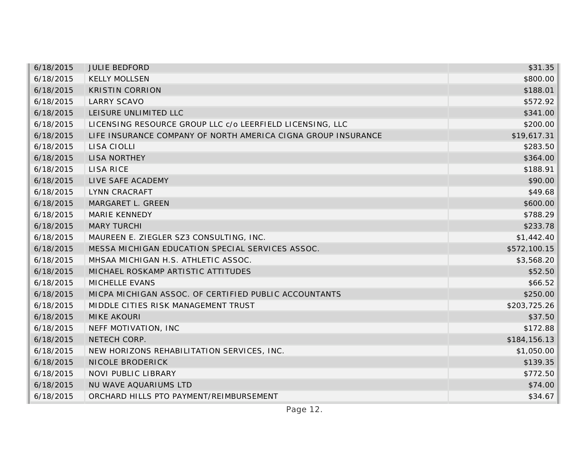| 6/18/2015 | <b>JULIE BEDFORD</b>                                          | \$31.35      |
|-----------|---------------------------------------------------------------|--------------|
| 6/18/2015 | <b>KELLY MOLLSEN</b>                                          | \$800.00     |
| 6/18/2015 | <b>KRISTIN CORRION</b>                                        | \$188.01     |
| 6/18/2015 | <b>LARRY SCAVO</b>                                            | \$572.92     |
| 6/18/2015 | LEISURE UNLIMITED LLC                                         | \$341.00     |
| 6/18/2015 | LICENSING RESOURCE GROUP LLC c/o LEERFIELD LICENSING, LLC     | \$200.00     |
| 6/18/2015 | LIFE INSURANCE COMPANY OF NORTH AMERICA CIGNA GROUP INSURANCE | \$19,617.31  |
| 6/18/2015 | LISA CIOLLI                                                   | \$283.50     |
| 6/18/2015 | <b>LISA NORTHEY</b>                                           | \$364.00     |
| 6/18/2015 | <b>LISA RICE</b>                                              | \$188.91     |
| 6/18/2015 | LIVE SAFE ACADEMY                                             | \$90.00      |
| 6/18/2015 | LYNN CRACRAFT                                                 | \$49.68      |
| 6/18/2015 | MARGARET L. GREEN                                             | \$600.00     |
| 6/18/2015 | <b>MARIE KENNEDY</b>                                          | \$788.29     |
| 6/18/2015 | <b>MARY TURCHI</b>                                            | \$233.78     |
| 6/18/2015 | MAUREEN E. ZIEGLER SZ3 CONSULTING, INC.                       | \$1,442.40   |
| 6/18/2015 | MESSA MICHIGAN EDUCATION SPECIAL SERVICES ASSOC.              | \$572,100.15 |
| 6/18/2015 | MHSAA MICHIGAN H.S. ATHLETIC ASSOC.                           | \$3,568.20   |
| 6/18/2015 | MICHAEL ROSKAMP ARTISTIC ATTITUDES                            | \$52.50      |
| 6/18/2015 | MICHELLE EVANS                                                | \$66.52      |
| 6/18/2015 | MICPA MICHIGAN ASSOC. OF CERTIFIED PUBLIC ACCOUNTANTS         | \$250.00     |
| 6/18/2015 | MIDDLE CITIES RISK MANAGEMENT TRUST                           | \$203,725.26 |
| 6/18/2015 | MIKE AKOURI                                                   | \$37.50      |
| 6/18/2015 | NEFF MOTIVATION, INC                                          | \$172.88     |
| 6/18/2015 | NETECH CORP.                                                  | \$184,156.13 |
| 6/18/2015 | NEW HORIZONS REHABILITATION SERVICES, INC.                    | \$1,050.00   |
| 6/18/2015 | NICOLE BRODERICK                                              | \$139.35     |
| 6/18/2015 | <b>NOVI PUBLIC LIBRARY</b>                                    | \$772.50     |
| 6/18/2015 | NU WAVE AQUARIUMS LTD                                         | \$74.00      |
| 6/18/2015 | ORCHARD HILLS PTO PAYMENT/REIMBURSEMENT                       | \$34.67      |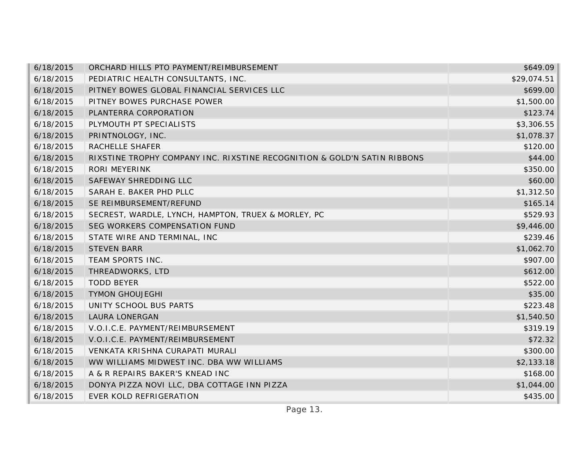| 6/18/2015 | ORCHARD HILLS PTO PAYMENT/REIMBURSEMENT                                  | \$649.09    |
|-----------|--------------------------------------------------------------------------|-------------|
| 6/18/2015 | PEDIATRIC HEALTH CONSULTANTS, INC.                                       | \$29,074.51 |
| 6/18/2015 | PITNEY BOWES GLOBAL FINANCIAL SERVICES LLC                               | \$699.00    |
| 6/18/2015 | PITNEY BOWES PURCHASE POWER                                              | \$1,500.00  |
| 6/18/2015 | PLANTERRA CORPORATION                                                    | \$123.74    |
| 6/18/2015 | PLYMOUTH PT SPECIALISTS                                                  | \$3,306.55  |
| 6/18/2015 | PRINTNOLOGY, INC.                                                        | \$1,078.37  |
| 6/18/2015 | RACHELLE SHAFER                                                          | \$120.00    |
| 6/18/2015 | RIXSTINE TROPHY COMPANY INC. RIXSTINE RECOGNITION & GOLD'N SATIN RIBBONS | \$44.00     |
| 6/18/2015 | <b>RORI MEYERINK</b>                                                     | \$350.00    |
| 6/18/2015 | SAFEWAY SHREDDING LLC                                                    | \$60.00     |
| 6/18/2015 | SARAH E. BAKER PHD PLLC                                                  | \$1,312.50  |
| 6/18/2015 | SE REIMBURSEMENT/REFUND                                                  | \$165.14    |
| 6/18/2015 | SECREST, WARDLE, LYNCH, HAMPTON, TRUEX & MORLEY, PC                      | \$529.93    |
| 6/18/2015 | SEG WORKERS COMPENSATION FUND                                            | \$9,446.00  |
| 6/18/2015 | STATE WIRE AND TERMINAL, INC                                             | \$239.46    |
| 6/18/2015 | <b>STEVEN BARR</b>                                                       | \$1,062.70  |
| 6/18/2015 | TEAM SPORTS INC.                                                         | \$907.00    |
| 6/18/2015 | THREADWORKS, LTD                                                         | \$612.00    |
| 6/18/2015 | <b>TODD BEYER</b>                                                        | \$522.00    |
| 6/18/2015 | <b>TYMON GHOUJEGHI</b>                                                   | \$35.00     |
| 6/18/2015 | UNITY SCHOOL BUS PARTS                                                   | \$223.48    |
| 6/18/2015 | <b>LAURA LONERGAN</b>                                                    | \$1,540.50  |
| 6/18/2015 | V.O.I.C.E. PAYMENT/REIMBURSEMENT                                         | \$319.19    |
| 6/18/2015 | V.O.I.C.E. PAYMENT/REIMBURSEMENT                                         | \$72.32     |
| 6/18/2015 | VENKATA KRISHNA CURAPATI MURALI                                          | \$300.00    |
| 6/18/2015 | WW WILLIAMS MIDWEST INC. DBA WW WILLIAMS                                 | \$2,133.18  |
| 6/18/2015 | A & R REPAIRS BAKER'S KNEAD INC                                          | \$168.00    |
| 6/18/2015 | DONYA PIZZA NOVI LLC, DBA COTTAGE INN PIZZA                              | \$1,044.00  |
| 6/18/2015 | <b>EVER KOLD REFRIGERATION</b>                                           | \$435.00    |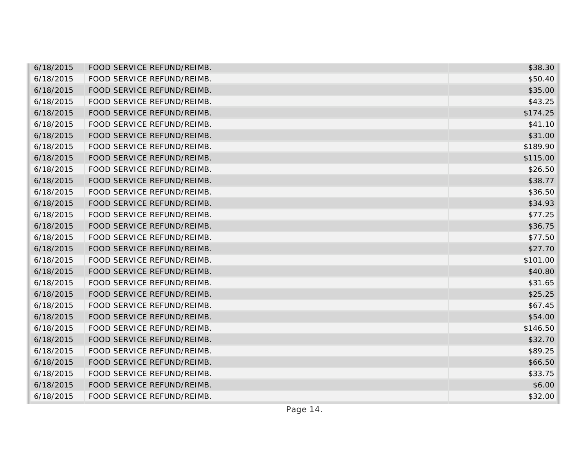| 6/18/2015 | FOOD SERVICE REFUND/REIMB. | \$38.30  |
|-----------|----------------------------|----------|
| 6/18/2015 | FOOD SERVICE REFUND/REIMB. | \$50.40  |
| 6/18/2015 | FOOD SERVICE REFUND/REIMB. | \$35.00  |
| 6/18/2015 | FOOD SERVICE REFUND/REIMB. | \$43.25  |
| 6/18/2015 | FOOD SERVICE REFUND/REIMB. | \$174.25 |
| 6/18/2015 | FOOD SERVICE REFUND/REIMB. | \$41.10  |
| 6/18/2015 | FOOD SERVICE REFUND/REIMB. | \$31.00  |
| 6/18/2015 | FOOD SERVICE REFUND/REIMB. | \$189.90 |
| 6/18/2015 | FOOD SERVICE REFUND/REIMB. | \$115.00 |
| 6/18/2015 | FOOD SERVICE REFUND/REIMB. | \$26.50  |
| 6/18/2015 | FOOD SERVICE REFUND/REIMB. | \$38.77  |
| 6/18/2015 | FOOD SERVICE REFUND/REIMB. | \$36.50  |
| 6/18/2015 | FOOD SERVICE REFUND/REIMB. | \$34.93  |
| 6/18/2015 | FOOD SERVICE REFUND/REIMB. | \$77.25  |
| 6/18/2015 | FOOD SERVICE REFUND/REIMB. | \$36.75  |
| 6/18/2015 | FOOD SERVICE REFUND/REIMB. | \$77.50  |
| 6/18/2015 | FOOD SERVICE REFUND/REIMB. | \$27.70  |
| 6/18/2015 | FOOD SERVICE REFUND/REIMB. | \$101.00 |
| 6/18/2015 | FOOD SERVICE REFUND/REIMB. | \$40.80  |
| 6/18/2015 | FOOD SERVICE REFUND/REIMB. | \$31.65  |
| 6/18/2015 | FOOD SERVICE REFUND/REIMB. | \$25.25  |
| 6/18/2015 | FOOD SERVICE REFUND/REIMB. | \$67.45  |
| 6/18/2015 | FOOD SERVICE REFUND/REIMB. | \$54.00  |
| 6/18/2015 | FOOD SERVICE REFUND/REIMB. | \$146.50 |
| 6/18/2015 | FOOD SERVICE REFUND/REIMB. | \$32.70  |
| 6/18/2015 | FOOD SERVICE REFUND/REIMB. | \$89.25  |
| 6/18/2015 | FOOD SERVICE REFUND/REIMB. | \$66.50  |
| 6/18/2015 | FOOD SERVICE REFUND/REIMB. | \$33.75  |
| 6/18/2015 | FOOD SERVICE REFUND/REIMB. | \$6.00   |
| 6/18/2015 | FOOD SERVICE REFUND/REIMB. | \$32.00  |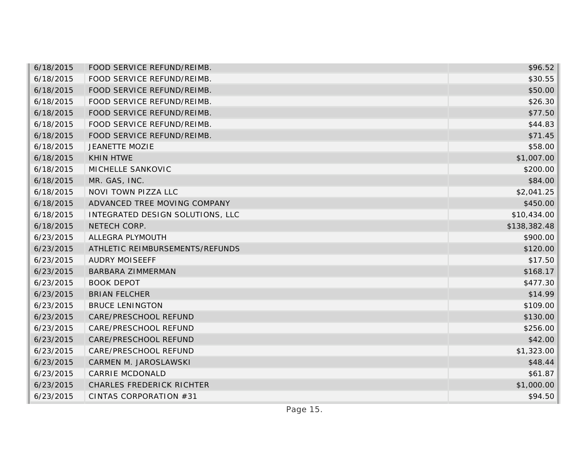| 6/18/2015 | FOOD SERVICE REFUND/REIMB.       | \$96.52      |
|-----------|----------------------------------|--------------|
| 6/18/2015 | FOOD SERVICE REFUND/REIMB.       | \$30.55      |
| 6/18/2015 | FOOD SERVICE REFUND/REIMB.       | \$50.00      |
| 6/18/2015 | FOOD SERVICE REFUND/REIMB.       | \$26.30      |
| 6/18/2015 | FOOD SERVICE REFUND/REIMB.       | \$77.50      |
| 6/18/2015 | FOOD SERVICE REFUND/REIMB.       | \$44.83      |
| 6/18/2015 | FOOD SERVICE REFUND/REIMB.       | \$71.45      |
| 6/18/2015 | <b>JEANETTE MOZIE</b>            | \$58.00      |
| 6/18/2015 | <b>KHIN HTWE</b>                 | \$1,007.00   |
| 6/18/2015 | MICHELLE SANKOVIC                | \$200.00     |
| 6/18/2015 | MR. GAS, INC.                    | \$84.00      |
| 6/18/2015 | NOVI TOWN PIZZA LLC              | \$2,041.25   |
| 6/18/2015 | ADVANCED TREE MOVING COMPANY     | \$450.00     |
| 6/18/2015 | INTEGRATED DESIGN SOLUTIONS, LLC | \$10,434.00  |
| 6/18/2015 | NETECH CORP.                     | \$138,382.48 |
| 6/23/2015 | ALLEGRA PLYMOUTH                 | \$900.00     |
| 6/23/2015 | ATHLETIC REIMBURSEMENTS/REFUNDS  | \$120.00     |
| 6/23/2015 | <b>AUDRY MOISEEFF</b>            | \$17.50      |
| 6/23/2015 | BARBARA ZIMMERMAN                | \$168.17     |
| 6/23/2015 | <b>BOOK DEPOT</b>                | \$477.30     |
| 6/23/2015 | <b>BRIAN FELCHER</b>             | \$14.99      |
| 6/23/2015 | <b>BRUCE LENINGTON</b>           | \$109.00     |
| 6/23/2015 | CARE/PRESCHOOL REFUND            | \$130.00     |
| 6/23/2015 | CARE/PRESCHOOL REFUND            | \$256.00     |
| 6/23/2015 | CARE/PRESCHOOL REFUND            | \$42.00      |
| 6/23/2015 | CARE/PRESCHOOL REFUND            | \$1,323.00   |
| 6/23/2015 | CARMEN M. JAROSLAWSKI            | \$48.44      |
| 6/23/2015 | CARRIE MCDONALD                  | \$61.87      |
| 6/23/2015 | <b>CHARLES FREDERICK RICHTER</b> | \$1,000.00   |
| 6/23/2015 | CINTAS CORPORATION #31           | \$94.50      |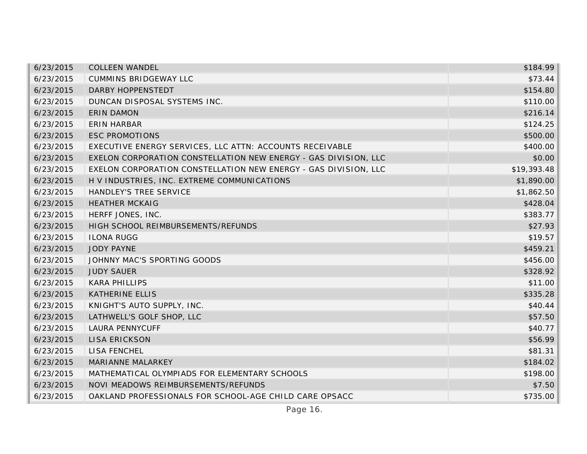| 6/23/2015 | <b>COLLEEN WANDEL</b>                                           | \$184.99    |
|-----------|-----------------------------------------------------------------|-------------|
| 6/23/2015 | <b>CUMMINS BRIDGEWAY LLC</b>                                    | \$73.44     |
| 6/23/2015 | DARBY HOPPENSTEDT                                               | \$154.80    |
| 6/23/2015 | DUNCAN DISPOSAL SYSTEMS INC.                                    | \$110.00    |
| 6/23/2015 | <b>ERIN DAMON</b>                                               | \$216.14    |
| 6/23/2015 | <b>ERIN HARBAR</b>                                              | \$124.25    |
| 6/23/2015 | <b>ESC PROMOTIONS</b>                                           | \$500.00    |
| 6/23/2015 | EXECUTIVE ENERGY SERVICES, LLC ATTN: ACCOUNTS RECEIVABLE        | \$400.00    |
| 6/23/2015 | EXELON CORPORATION CONSTELLATION NEW ENERGY - GAS DIVISION, LLC | \$0.00      |
| 6/23/2015 | EXELON CORPORATION CONSTELLATION NEW ENERGY - GAS DIVISION, LLC | \$19,393.48 |
| 6/23/2015 | H V INDUSTRIES, INC. EXTREME COMMUNICATIONS                     | \$1,890.00  |
| 6/23/2015 | HANDLEY'S TREE SERVICE                                          | \$1,862.50  |
| 6/23/2015 | <b>HEATHER MCKAIG</b>                                           | \$428.04    |
| 6/23/2015 | HERFF JONES, INC.                                               | \$383.77    |
| 6/23/2015 | HIGH SCHOOL REIMBURSEMENTS/REFUNDS                              | \$27.93     |
| 6/23/2015 | <b>ILONA RUGG</b>                                               | \$19.57     |
| 6/23/2015 | <b>JODY PAYNE</b>                                               | \$459.21    |
| 6/23/2015 | JOHNNY MAC'S SPORTING GOODS                                     | \$456.00    |
| 6/23/2015 | <b>JUDY SAUER</b>                                               | \$328.92    |
| 6/23/2015 | <b>KARA PHILLIPS</b>                                            | \$11.00     |
| 6/23/2015 | <b>KATHERINE ELLIS</b>                                          | \$335.28    |
| 6/23/2015 | KNIGHT'S AUTO SUPPLY, INC.                                      | \$40.44     |
| 6/23/2015 | LATHWELL'S GOLF SHOP, LLC                                       | \$57.50     |
| 6/23/2015 | <b>LAURA PENNYCUFF</b>                                          | \$40.77     |
| 6/23/2015 | <b>LISA ERICKSON</b>                                            | \$56.99     |
| 6/23/2015 | <b>LISA FENCHEL</b>                                             | \$81.31     |
| 6/23/2015 | MARIANNE MALARKEY                                               | \$184.02    |
| 6/23/2015 | MATHEMATICAL OLYMPIADS FOR ELEMENTARY SCHOOLS                   | \$198.00    |
| 6/23/2015 | NOVI MEADOWS REIMBURSEMENTS/REFUNDS                             | \$7.50      |
| 6/23/2015 | OAKLAND PROFESSIONALS FOR SCHOOL-AGE CHILD CARE OPSACC          | \$735.00    |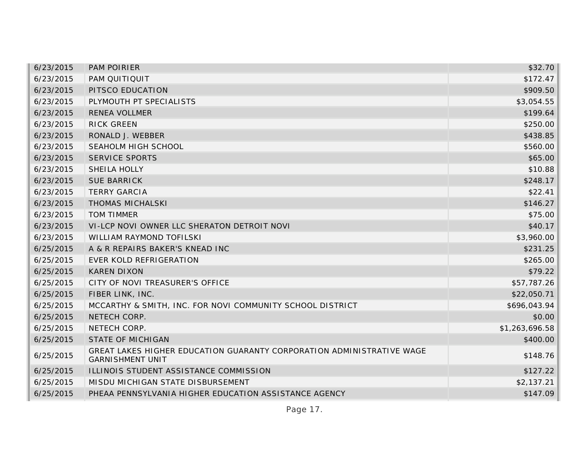| 6/23/2015 | <b>PAM POIRIER</b>                                                                               | \$32.70        |
|-----------|--------------------------------------------------------------------------------------------------|----------------|
| 6/23/2015 | PAM QUITIQUIT                                                                                    | \$172.47       |
| 6/23/2015 | PITSCO EDUCATION                                                                                 | \$909.50       |
| 6/23/2015 | PLYMOUTH PT SPECIALISTS                                                                          | \$3,054.55     |
| 6/23/2015 | <b>RENEA VOLLMER</b>                                                                             | \$199.64       |
| 6/23/2015 | <b>RICK GREEN</b>                                                                                | \$250.00       |
| 6/23/2015 | RONALD J. WEBBER                                                                                 | \$438.85       |
| 6/23/2015 | SEAHOLM HIGH SCHOOL                                                                              | \$560.00       |
| 6/23/2015 | <b>SERVICE SPORTS</b>                                                                            | \$65.00        |
| 6/23/2015 | SHEILA HOLLY                                                                                     | \$10.88        |
| 6/23/2015 | <b>SUE BARRICK</b>                                                                               | \$248.17       |
| 6/23/2015 | <b>TERRY GARCIA</b>                                                                              | \$22.41        |
| 6/23/2015 | <b>THOMAS MICHALSKI</b>                                                                          | \$146.27       |
| 6/23/2015 | <b>TOM TIMMER</b>                                                                                | \$75.00        |
| 6/23/2015 | VI-LCP NOVI OWNER LLC SHERATON DETROIT NOVI                                                      | \$40.17        |
| 6/23/2015 | <b>WILLIAM RAYMOND TOFILSKI</b>                                                                  | \$3,960.00     |
| 6/25/2015 | A & R REPAIRS BAKER'S KNEAD INC                                                                  | \$231.25       |
| 6/25/2015 | EVER KOLD REFRIGERATION                                                                          | \$265.00       |
| 6/25/2015 | <b>KAREN DIXON</b>                                                                               | \$79.22        |
| 6/25/2015 | CITY OF NOVI TREASURER'S OFFICE                                                                  | \$57,787.26    |
| 6/25/2015 | FIBER LINK, INC.                                                                                 | \$22,050.71    |
| 6/25/2015 | MCCARTHY & SMITH, INC. FOR NOVI COMMUNITY SCHOOL DISTRICT                                        | \$696,043.94   |
| 6/25/2015 | NETECH CORP.                                                                                     | \$0.00         |
| 6/25/2015 | NETECH CORP.                                                                                     | \$1,263,696.58 |
| 6/25/2015 | STATE OF MICHIGAN                                                                                | \$400.00       |
| 6/25/2015 | GREAT LAKES HIGHER EDUCATION GUARANTY CORPORATION ADMINISTRATIVE WAGE<br><b>GARNISHMENT UNIT</b> | \$148.76       |
| 6/25/2015 | ILLINOIS STUDENT ASSISTANCE COMMISSION                                                           | \$127.22       |
| 6/25/2015 | MISDU MICHIGAN STATE DISBURSEMENT                                                                | \$2,137.21     |
| 6/25/2015 | PHEAA PENNSYLVANIA HIGHER EDUCATION ASSISTANCE AGENCY                                            | \$147.09       |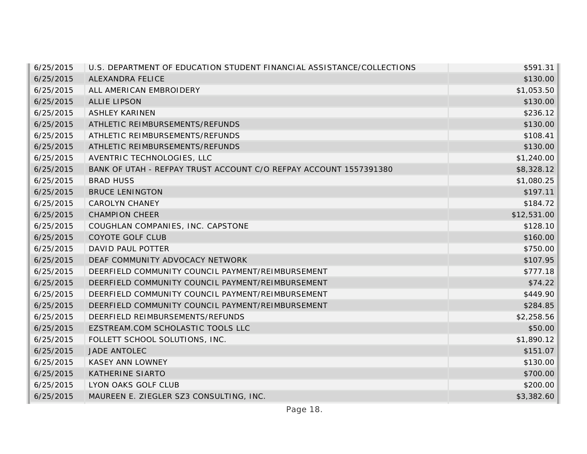| 6/25/2015 | U.S. DEPARTMENT OF EDUCATION STUDENT FINANCIAL ASSISTANCE/COLLECTIONS | \$591.31    |
|-----------|-----------------------------------------------------------------------|-------------|
| 6/25/2015 | ALEXANDRA FELICE                                                      | \$130.00    |
| 6/25/2015 | ALL AMERICAN EMBROIDERY                                               | \$1,053.50  |
| 6/25/2015 | <b>ALLIE LIPSON</b>                                                   | \$130.00    |
| 6/25/2015 | <b>ASHLEY KARINEN</b>                                                 | \$236.12    |
| 6/25/2015 | ATHLETIC REIMBURSEMENTS/REFUNDS                                       | \$130.00    |
| 6/25/2015 | ATHLETIC REIMBURSEMENTS/REFUNDS                                       | \$108.41    |
| 6/25/2015 | ATHLETIC REIMBURSEMENTS/REFUNDS                                       | \$130.00    |
| 6/25/2015 | AVENTRIC TECHNOLOGIES, LLC                                            | \$1,240.00  |
| 6/25/2015 | BANK OF UTAH - REFPAY TRUST ACCOUNT C/O REFPAY ACCOUNT 1557391380     | \$8,328.12  |
| 6/25/2015 | <b>BRAD HUSS</b>                                                      | \$1,080.25  |
| 6/25/2015 | <b>BRUCE LENINGTON</b>                                                | \$197.11    |
| 6/25/2015 | <b>CAROLYN CHANEY</b>                                                 | \$184.72    |
| 6/25/2015 | <b>CHAMPION CHEER</b>                                                 | \$12,531.00 |
| 6/25/2015 | COUGHLAN COMPANIES, INC. CAPSTONE                                     | \$128.10    |
| 6/25/2015 | COYOTE GOLF CLUB                                                      | \$160.00    |
| 6/25/2015 | DAVID PAUL POTTER                                                     | \$750.00    |
| 6/25/2015 | DEAF COMMUNITY ADVOCACY NETWORK                                       | \$107.95    |
| 6/25/2015 | DEERFIELD COMMUNITY COUNCIL PAYMENT/REIMBURSEMENT                     | \$777.18    |
| 6/25/2015 | DEERFIELD COMMUNITY COUNCIL PAYMENT/REIMBURSEMENT                     | \$74.22     |
| 6/25/2015 | DEERFIELD COMMUNITY COUNCIL PAYMENT/REIMBURSEMENT                     | \$449.90    |
| 6/25/2015 | DEERFIELD COMMUNITY COUNCIL PAYMENT/REIMBURSEMENT                     | \$284.85    |
| 6/25/2015 | DEERFIELD REIMBURSEMENTS/REFUNDS                                      | \$2,258.56  |
| 6/25/2015 | EZSTREAM.COM SCHOLASTIC TOOLS LLC                                     | \$50.00     |
| 6/25/2015 | FOLLETT SCHOOL SOLUTIONS, INC.                                        | \$1,890.12  |
| 6/25/2015 | JADE ANTOLEC                                                          | \$151.07    |
| 6/25/2015 | <b>KASEY ANN LOWNEY</b>                                               | \$130.00    |
| 6/25/2015 | <b>KATHERINE SIARTO</b>                                               | \$700.00    |
| 6/25/2015 | LYON OAKS GOLF CLUB                                                   | \$200.00    |
| 6/25/2015 | MAUREEN E. ZIEGLER SZ3 CONSULTING, INC.                               | \$3,382.60  |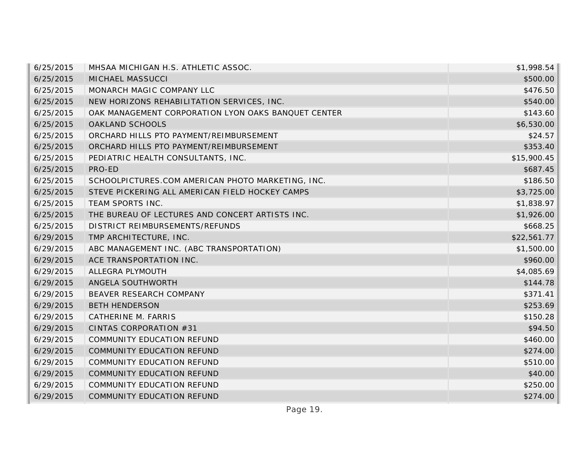| 6/25/2015 | MHSAA MICHIGAN H.S. ATHLETIC ASSOC.                 | \$1,998.54  |
|-----------|-----------------------------------------------------|-------------|
| 6/25/2015 | MICHAEL MASSUCCI                                    | \$500.00    |
| 6/25/2015 | MONARCH MAGIC COMPANY LLC                           | \$476.50    |
| 6/25/2015 | NEW HORIZONS REHABILITATION SERVICES, INC.          | \$540.00    |
| 6/25/2015 | OAK MANAGEMENT CORPORATION LYON OAKS BANQUET CENTER | \$143.60    |
| 6/25/2015 | <b>OAKLAND SCHOOLS</b>                              | \$6,530.00  |
| 6/25/2015 | ORCHARD HILLS PTO PAYMENT/REIMBURSEMENT             | \$24.57     |
| 6/25/2015 | ORCHARD HILLS PTO PAYMENT/REIMBURSEMENT             | \$353.40    |
| 6/25/2015 | PEDIATRIC HEALTH CONSULTANTS, INC.                  | \$15,900.45 |
| 6/25/2015 | PRO-ED                                              | \$687.45    |
| 6/25/2015 | SCHOOLPICTURES.COM AMERICAN PHOTO MARKETING, INC.   | \$186.50    |
| 6/25/2015 | STEVE PICKERING ALL AMERICAN FIELD HOCKEY CAMPS     | \$3,725.00  |
| 6/25/2015 | TEAM SPORTS INC.                                    | \$1,838.97  |
| 6/25/2015 | THE BUREAU OF LECTURES AND CONCERT ARTISTS INC.     | \$1,926.00  |
| 6/25/2015 | DISTRICT REIMBURSEMENTS/REFUNDS                     | \$668.25    |
| 6/29/2015 | TMP ARCHITECTURE, INC.                              | \$22,561.77 |
| 6/29/2015 | ABC MANAGEMENT INC. (ABC TRANSPORTATION)            | \$1,500.00  |
| 6/29/2015 | ACE TRANSPORTATION INC.                             | \$960.00    |
| 6/29/2015 | ALLEGRA PLYMOUTH                                    | \$4,085.69  |
| 6/29/2015 | ANGELA SOUTHWORTH                                   | \$144.78    |
| 6/29/2015 | BEAVER RESEARCH COMPANY                             | \$371.41    |
| 6/29/2015 | <b>BETH HENDERSON</b>                               | \$253.69    |
| 6/29/2015 | CATHERINE M. FARRIS                                 | \$150.28    |
| 6/29/2015 | CINTAS CORPORATION #31                              | \$94.50     |
| 6/29/2015 | COMMUNITY EDUCATION REFUND                          | \$460.00    |
| 6/29/2015 | COMMUNITY EDUCATION REFUND                          | \$274.00    |
| 6/29/2015 | COMMUNITY EDUCATION REFUND                          | \$510.00    |
| 6/29/2015 | COMMUNITY EDUCATION REFUND                          | \$40.00     |
| 6/29/2015 | COMMUNITY EDUCATION REFUND                          | \$250.00    |
| 6/29/2015 | COMMUNITY EDUCATION REFUND                          | \$274.00    |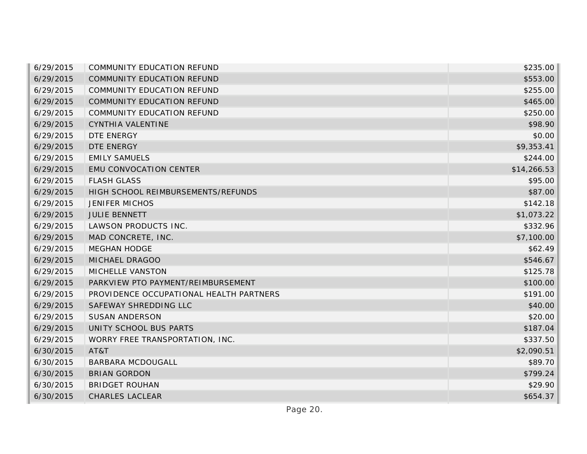| 6/29/2015 | <b>COMMUNITY EDUCATION REFUND</b>       | \$235.00    |
|-----------|-----------------------------------------|-------------|
| 6/29/2015 | COMMUNITY EDUCATION REFUND              | \$553.00    |
| 6/29/2015 | COMMUNITY EDUCATION REFUND              | \$255.00    |
| 6/29/2015 | COMMUNITY EDUCATION REFUND              | \$465.00    |
| 6/29/2015 | COMMUNITY EDUCATION REFUND              | \$250.00    |
| 6/29/2015 | CYNTHIA VALENTINE                       | \$98.90     |
| 6/29/2015 | DTE ENERGY                              | \$0.00      |
| 6/29/2015 | <b>DTE ENERGY</b>                       | \$9,353.41  |
| 6/29/2015 | <b>EMILY SAMUELS</b>                    | \$244.00    |
| 6/29/2015 | <b>EMU CONVOCATION CENTER</b>           | \$14,266.53 |
| 6/29/2015 | <b>FLASH GLASS</b>                      | \$95.00     |
| 6/29/2015 | HIGH SCHOOL REIMBURSEMENTS/REFUNDS      | \$87.00     |
| 6/29/2015 | <b>JENIFER MICHOS</b>                   | \$142.18    |
| 6/29/2015 | <b>JULIE BENNETT</b>                    | \$1,073.22  |
| 6/29/2015 | LAWSON PRODUCTS INC.                    | \$332.96    |
| 6/29/2015 | MAD CONCRETE, INC.                      | \$7,100.00  |
| 6/29/2015 | <b>MEGHAN HODGE</b>                     | \$62.49     |
| 6/29/2015 | MICHAEL DRAGOO                          | \$546.67    |
| 6/29/2015 | MICHELLE VANSTON                        | \$125.78    |
| 6/29/2015 | PARKVIEW PTO PAYMENT/REIMBURSEMENT      | \$100.00    |
| 6/29/2015 | PROVIDENCE OCCUPATIONAL HEALTH PARTNERS | \$191.00    |
| 6/29/2015 | SAFEWAY SHREDDING LLC                   | \$40.00     |
| 6/29/2015 | <b>SUSAN ANDERSON</b>                   | \$20.00     |
| 6/29/2015 | UNITY SCHOOL BUS PARTS                  | \$187.04    |
| 6/29/2015 | WORRY FREE TRANSPORTATION, INC.         | \$337.50    |
| 6/30/2015 | AT&T                                    | \$2,090.51  |
| 6/30/2015 | <b>BARBARA MCDOUGALL</b>                | \$89.70     |
| 6/30/2015 | <b>BRIAN GORDON</b>                     | \$799.24    |
| 6/30/2015 | <b>BRIDGET ROUHAN</b>                   | \$29.90     |
| 6/30/2015 | <b>CHARLES LACLEAR</b>                  | \$654.37    |